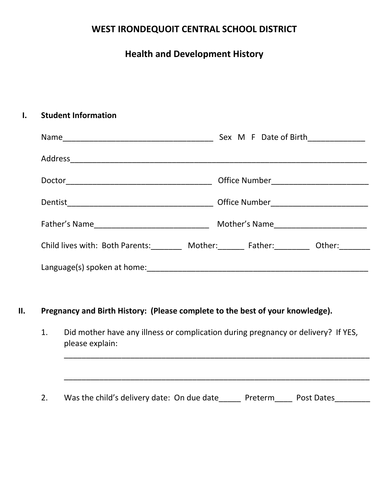## **WEST IRONDEQUOIT CENTRAL SCHOOL DISTRICT**

# **Health and Development History**

## **I. Student Information**

| Sex M F Date of Birth____________                                                      |  |
|----------------------------------------------------------------------------------------|--|
|                                                                                        |  |
|                                                                                        |  |
|                                                                                        |  |
|                                                                                        |  |
| Child lives with: Both Parents: ________ Mother: _______ Father: ________ Other: _____ |  |
|                                                                                        |  |

## **II. Pregnancy and Birth History: (Please complete to the best of your knowledge).**

1. Did mother have any illness or complication during pregnancy or delivery? If YES, please explain:

\_\_\_\_\_\_\_\_\_\_\_\_\_\_\_\_\_\_\_\_\_\_\_\_\_\_\_\_\_\_\_\_\_\_\_\_\_\_\_\_\_\_\_\_\_\_\_\_\_\_\_\_\_\_\_\_\_\_\_\_\_\_\_\_\_\_\_\_\_

\_\_\_\_\_\_\_\_\_\_\_\_\_\_\_\_\_\_\_\_\_\_\_\_\_\_\_\_\_\_\_\_\_\_\_\_\_\_\_\_\_\_\_\_\_\_\_\_\_\_\_\_\_\_\_\_\_\_\_\_\_\_\_\_\_\_\_\_\_

2. Was the child's delivery date: On due date\_\_\_\_\_ Preterm\_\_\_\_ Post Dates\_\_\_\_\_\_\_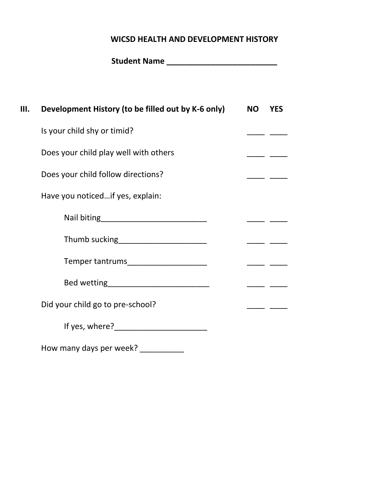#### **WICSD HEALTH AND DEVELOPMENT HISTORY**

| Ш. | Development History (to be filled out by K-6 only)                                                                                                                                                                             | NO YES |          |
|----|--------------------------------------------------------------------------------------------------------------------------------------------------------------------------------------------------------------------------------|--------|----------|
|    | Is your child shy or timid?                                                                                                                                                                                                    |        |          |
|    | Does your child play well with others                                                                                                                                                                                          |        |          |
|    | Does your child follow directions?                                                                                                                                                                                             |        |          |
|    | Have you noticedif yes, explain:                                                                                                                                                                                               |        |          |
|    |                                                                                                                                                                                                                                |        |          |
|    | Thumb sucking_______________________                                                                                                                                                                                           |        |          |
|    | Temper tantrums______________________                                                                                                                                                                                          |        | ____ ___ |
|    |                                                                                                                                                                                                                                |        |          |
|    | Did your child go to pre-school?                                                                                                                                                                                               |        |          |
|    | If yes, where? The contract of the state of the state of the state of the state of the state of the state of the state of the state of the state of the state of the state of the state of the state of the state of the state |        |          |
|    |                                                                                                                                                                                                                                |        |          |

How many days per week? \_\_\_\_\_\_\_\_\_\_\_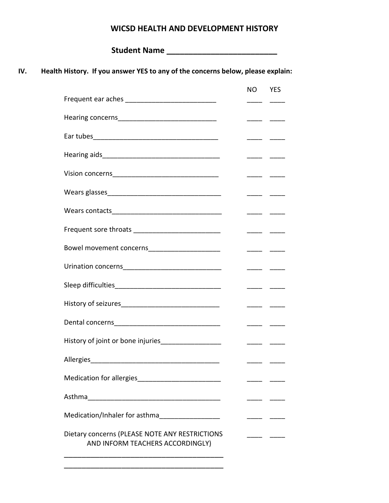#### **WICSD HEALTH AND DEVELOPMENT HISTORY**

**Student Name \_\_\_\_\_\_\_\_\_\_\_\_\_\_\_\_\_\_\_\_\_\_\_\_\_**

#### **IV. Health History. If you answer YES to any of the concerns below, please explain:**

|                                                                                    | <b>NO</b> | <b>YES</b>                                                                                                                                                                                                                                                                                                                                                                                                                                                                              |
|------------------------------------------------------------------------------------|-----------|-----------------------------------------------------------------------------------------------------------------------------------------------------------------------------------------------------------------------------------------------------------------------------------------------------------------------------------------------------------------------------------------------------------------------------------------------------------------------------------------|
|                                                                                    |           |                                                                                                                                                                                                                                                                                                                                                                                                                                                                                         |
|                                                                                    |           |                                                                                                                                                                                                                                                                                                                                                                                                                                                                                         |
|                                                                                    |           |                                                                                                                                                                                                                                                                                                                                                                                                                                                                                         |
|                                                                                    |           |                                                                                                                                                                                                                                                                                                                                                                                                                                                                                         |
|                                                                                    |           |                                                                                                                                                                                                                                                                                                                                                                                                                                                                                         |
|                                                                                    |           |                                                                                                                                                                                                                                                                                                                                                                                                                                                                                         |
|                                                                                    |           |                                                                                                                                                                                                                                                                                                                                                                                                                                                                                         |
| Frequent sore throats ___________________________                                  |           |                                                                                                                                                                                                                                                                                                                                                                                                                                                                                         |
| Bowel movement concerns________________________                                    |           | $\frac{1}{1}$                                                                                                                                                                                                                                                                                                                                                                                                                                                                           |
|                                                                                    |           | $\begin{tabular}{ll} \multicolumn{1}{l}{} & \multicolumn{1}{l}{} & \multicolumn{1}{l}{} & \multicolumn{1}{l}{} \\ \multicolumn{1}{l}{} & \multicolumn{1}{l}{} & \multicolumn{1}{l}{} & \multicolumn{1}{l}{} \\ \multicolumn{1}{l}{} & \multicolumn{1}{l}{} & \multicolumn{1}{l}{} & \multicolumn{1}{l}{} \\ \multicolumn{1}{l}{} & \multicolumn{1}{l}{} & \multicolumn{1}{l}{} \\ \multicolumn{1}{l}{} & \multicolumn{1}{l}{} & \multicolumn{1}{l}{} \\ \multicolumn{1}{l}{} & \multic$ |
|                                                                                    |           |                                                                                                                                                                                                                                                                                                                                                                                                                                                                                         |
|                                                                                    |           |                                                                                                                                                                                                                                                                                                                                                                                                                                                                                         |
|                                                                                    |           |                                                                                                                                                                                                                                                                                                                                                                                                                                                                                         |
| History of joint or bone injuries___________________                               |           | —————————                                                                                                                                                                                                                                                                                                                                                                                                                                                                               |
|                                                                                    |           |                                                                                                                                                                                                                                                                                                                                                                                                                                                                                         |
|                                                                                    |           |                                                                                                                                                                                                                                                                                                                                                                                                                                                                                         |
|                                                                                    |           |                                                                                                                                                                                                                                                                                                                                                                                                                                                                                         |
| Medication/Inhaler for asthma__________________                                    |           |                                                                                                                                                                                                                                                                                                                                                                                                                                                                                         |
| Dietary concerns (PLEASE NOTE ANY RESTRICTIONS<br>AND INFORM TEACHERS ACCORDINGLY) |           |                                                                                                                                                                                                                                                                                                                                                                                                                                                                                         |

\_\_\_\_\_\_\_\_\_\_\_\_\_\_\_\_\_\_\_\_\_\_\_\_\_\_\_\_\_\_\_\_\_\_\_\_